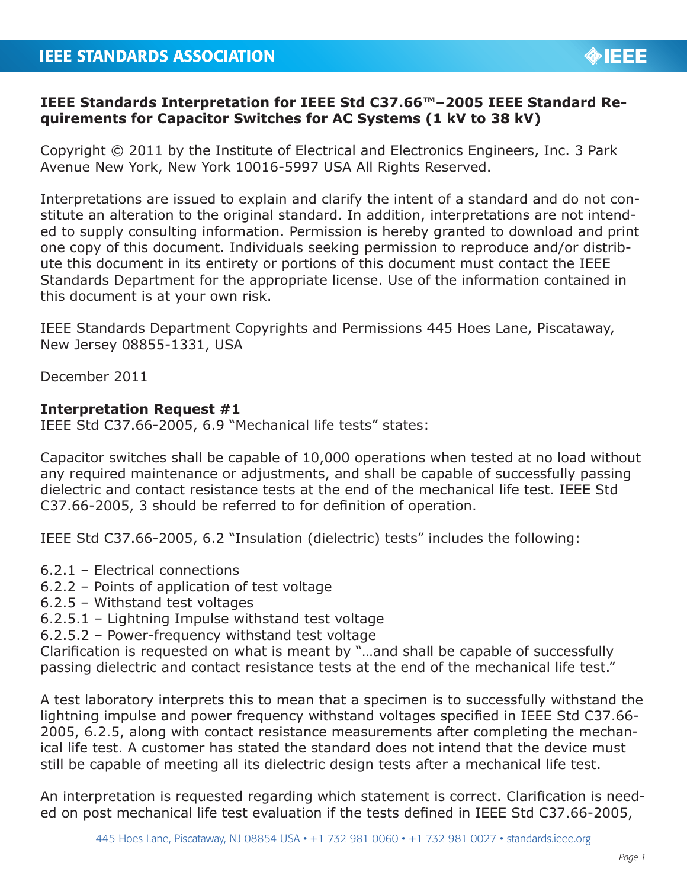## **IEEE Standards Interpretation for IEEE Std C37.66™–2005 IEEE Standard Requirements for Capacitor Switches for AC Systems (1 kV to 38 kV)**

Copyright © 2011 by the Institute of Electrical and Electronics Engineers, Inc. 3 Park Avenue New York, New York 10016-5997 USA All Rights Reserved.

Interpretations are issued to explain and clarify the intent of a standard and do not constitute an alteration to the original standard. In addition, interpretations are not intended to supply consulting information. Permission is hereby granted to download and print one copy of this document. Individuals seeking permission to reproduce and/or distribute this document in its entirety or portions of this document must contact the IEEE Standards Department for the appropriate license. Use of the information contained in this document is at your own risk.

IEEE Standards Department Copyrights and Permissions 445 Hoes Lane, Piscataway, New Jersey 08855-1331, USA

December 2011

## **Interpretation Request #1**

IEEE Std C37.66-2005, 6.9 "Mechanical life tests" states:

Capacitor switches shall be capable of 10,000 operations when tested at no load without any required maintenance or adjustments, and shall be capable of successfully passing dielectric and contact resistance tests at the end of the mechanical life test. IEEE Std C37.66-2005, 3 should be referred to for definition of operation.

IEEE Std C37.66-2005, 6.2 "Insulation (dielectric) tests" includes the following:

- 6.2.1 Electrical connections
- 6.2.2 Points of application of test voltage
- 6.2.5 Withstand test voltages
- 6.2.5.1 Lightning Impulse withstand test voltage
- 6.2.5.2 Power-frequency withstand test voltage

Clarification is requested on what is meant by "…and shall be capable of successfully passing dielectric and contact resistance tests at the end of the mechanical life test."

A test laboratory interprets this to mean that a specimen is to successfully withstand the lightning impulse and power frequency withstand voltages specified in IEEE Std C37.66- 2005, 6.2.5, along with contact resistance measurements after completing the mechanical life test. A customer has stated the standard does not intend that the device must still be capable of meeting all its dielectric design tests after a mechanical life test.

An interpretation is requested regarding which statement is correct. Clarification is needed on post mechanical life test evaluation if the tests defined in IEEE Std C37.66-2005,

**OIEEE**